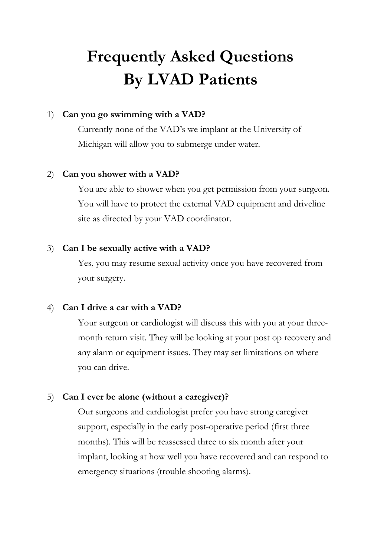## **Frequently Asked Questions By LVAD Patients**

#### 1) **Can you go swimming with a VAD?**

Currently none of the VAD's we implant at the University of Michigan will allow you to submerge under water.

#### 2) **Can you shower with a VAD?**

You are able to shower when you get permission from your surgeon. You will have to protect the external VAD equipment and driveline site as directed by your VAD coordinator.

#### 3) **Can I be sexually active with a VAD?**

Yes, you may resume sexual activity once you have recovered from your surgery.

#### 4) **Can I drive a car with a VAD?**

Your surgeon or cardiologist will discuss this with you at your threemonth return visit. They will be looking at your post op recovery and any alarm or equipment issues. They may set limitations on where you can drive.

#### 5) **Can I ever be alone (without a caregiver)?**

Our surgeons and cardiologist prefer you have strong caregiver support, especially in the early post-operative period (first three months). This will be reassessed three to six month after your implant, looking at how well you have recovered and can respond to emergency situations (trouble shooting alarms).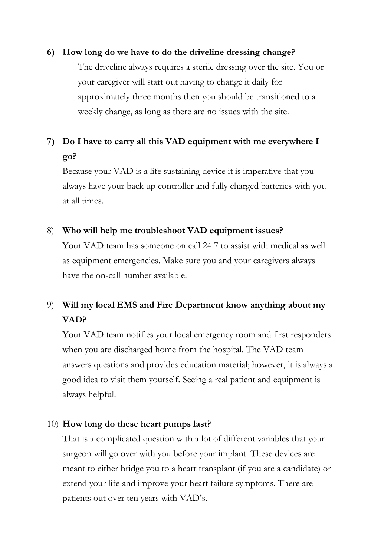#### **6) How long do we have to do the driveline dressing change?**

The driveline always requires a sterile dressing over the site. You or your caregiver will start out having to change it daily for approximately three months then you should be transitioned to a weekly change, as long as there are no issues with the site.

## **7) Do I have to carry all this VAD equipment with me everywhere I go?**

Because your VAD is a life sustaining device it is imperative that you always have your back up controller and fully charged batteries with you at all times.

#### 8) **Who will help me troubleshoot VAD equipment issues?**

Your VAD team has someone on call 24 7 to assist with medical as well as equipment emergencies. Make sure you and your caregivers always have the on-call number available.

## 9) **Will my local EMS and Fire Department know anything about my VAD?**

Your VAD team notifies your local emergency room and first responders when you are discharged home from the hospital. The VAD team answers questions and provides education material; however, it is always a good idea to visit them yourself. Seeing a real patient and equipment is always helpful.

#### 10) **How long do these heart pumps last?**

That is a complicated question with a lot of different variables that your surgeon will go over with you before your implant. These devices are meant to either bridge you to a heart transplant (if you are a candidate) or extend your life and improve your heart failure symptoms. There are patients out over ten years with VAD's.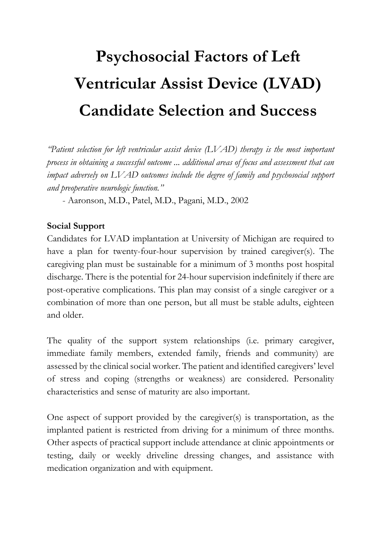# **Psychosocial Factors of Left Ventricular Assist Device (LVAD) Candidate Selection and Success**

*"Patient selection for left ventricular assist device (LVAD) therapy is the most important process in obtaining a successful outcome ... additional areas of focus and assessment that can impact adversely on LVAD outcomes include the degree of family and psychosocial support and preoperative neurologic function."*

- Aaronson, M.D., Patel, M.D., Pagani, M.D., 2002

### **Social Support**

Candidates for LVAD implantation at University of Michigan are required to have a plan for twenty-four-hour supervision by trained caregiver(s). The caregiving plan must be sustainable for a minimum of 3 months post hospital discharge. There is the potential for 24-hour supervision indefinitely if there are post-operative complications. This plan may consist of a single caregiver or a combination of more than one person, but all must be stable adults, eighteen and older.

The quality of the support system relationships (i.e. primary caregiver, immediate family members, extended family, friends and community) are assessed by the clinical social worker. The patient and identified caregivers' level of stress and coping (strengths or weakness) are considered. Personality characteristics and sense of maturity are also important.

One aspect of support provided by the caregiver(s) is transportation, as the implanted patient is restricted from driving for a minimum of three months. Other aspects of practical support include attendance at clinic appointments or testing, daily or weekly driveline dressing changes, and assistance with medication organization and with equipment.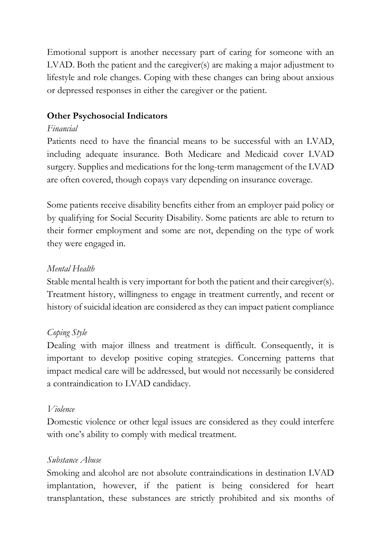Emotional support is another necessary part of caring for someone with an LVAD. Both the patient and the caregiver(s) are making a major adjustment to lifestyle and role changes. Coping with these changes can bring about anxious or depressed responses in either the caregiver or the patient.

### **Other Psychosocial Indicators**

### *Financial*

Patients need to have the financial means to be successful with an LVAD, including adequate insurance. Both Medicare and Medicaid cover LVAD surgery. Supplies and medications for the long-term management of the LVAD are often covered, though copays vary depending on insurance coverage.

Some patients receive disability benefits either from an employer paid policy or by qualifying for Social Security Disability. Some patients are able to return to their former employment and some are not, depending on the type of work they were engaged in.

## *Mental Health*

Stable mental health is very important for both the patient and their caregiver(s). Treatment history, willingness to engage in treatment currently, and recent or history of suicidal ideation are considered as they can impact patient compliance

## *Coping Style*

Dealing with major illness and treatment is difficult. Consequently, it is important to develop positive coping strategies. Concerning patterns that impact medical care will be addressed, but would not necessarily be considered a contraindication to LVAD candidacy.

## *Violence*

Domestic violence or other legal issues are considered as they could interfere with one's ability to comply with medical treatment.

## *Substance Abuse*

Smoking and alcohol are not absolute contraindications in destination LVAD implantation, however, if the patient is being considered for heart transplantation, these substances are strictly prohibited and six months of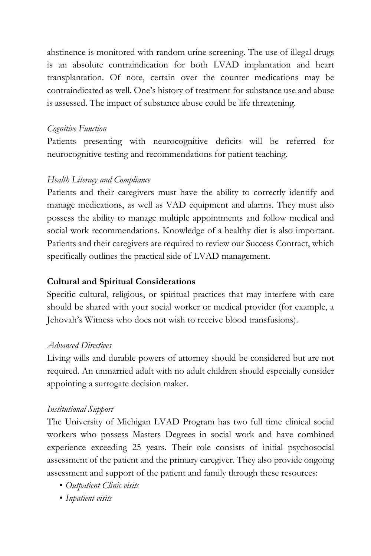abstinence is monitored with random urine screening. The use of illegal drugs is an absolute contraindication for both LVAD implantation and heart transplantation. Of note, certain over the counter medications may be contraindicated as well. One's history of treatment for substance use and abuse is assessed. The impact of substance abuse could be life threatening.

#### *Cognitive Function*

Patients presenting with neurocognitive deficits will be referred for neurocognitive testing and recommendations for patient teaching.

### *Health Literacy and Compliance*

Patients and their caregivers must have the ability to correctly identify and manage medications, as well as VAD equipment and alarms. They must also possess the ability to manage multiple appointments and follow medical and social work recommendations. Knowledge of a healthy diet is also important. Patients and their caregivers are required to review our Success Contract, which specifically outlines the practical side of LVAD management.

### **Cultural and Spiritual Considerations**

Specific cultural, religious, or spiritual practices that may interfere with care should be shared with your social worker or medical provider (for example, a Jehovah's Witness who does not wish to receive blood transfusions).

#### *Advanced Directives*

Living wills and durable powers of attorney should be considered but are not required. An unmarried adult with no adult children should especially consider appointing a surrogate decision maker.

### *Institutional Support*

The University of Michigan LVAD Program has two full time clinical social workers who possess Masters Degrees in social work and have combined experience exceeding 25 years. Their role consists of initial psychosocial assessment of the patient and the primary caregiver. They also provide ongoing assessment and support of the patient and family through these resources:

- *Outpatient Clinic visits*
- *Inpatient visits*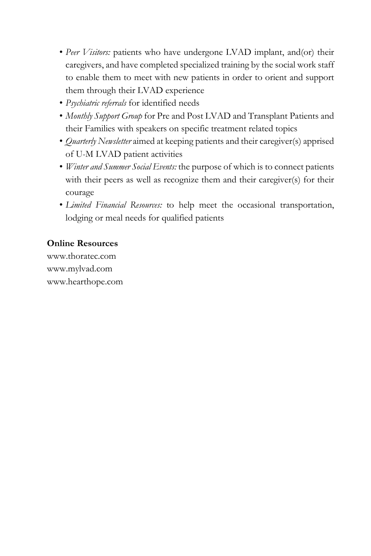- *Peer Visitors:* patients who have undergone LVAD implant, and(or) their caregivers, and have completed specialized training by the social work staff to enable them to meet with new patients in order to orient and support them through their LVAD experience
- *Psychiatric referrals* for identified needs
- *Monthly Support Group* for Pre and Post LVAD and Transplant Patients and their Families with speakers on specific treatment related topics
- *Quarterly Newsletter* aimed at keeping patients and their caregiver(s) apprised of U-M LVAD patient activities
- *Winter and Summer Social Events:* the purpose of which is to connect patients with their peers as well as recognize them and their caregiver(s) for their courage
- *Limited Financial Resources:* to help meet the occasional transportation, lodging or meal needs for qualified patients

## **Online Resources**

[www.thoratec.com](http://www.thoratec.com/) [www.mylvad.com](http://www.mylvad.com/) [www.hearthope.com](http://www.hearthope.com/)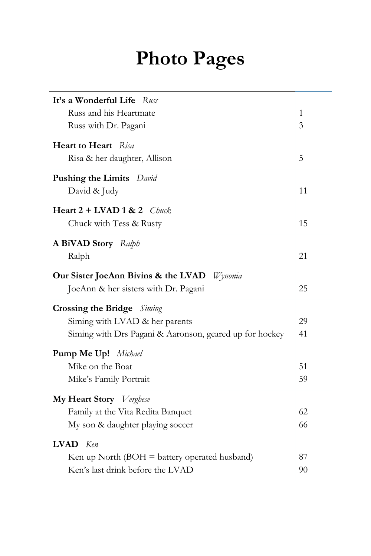## **Photo Pages**

| It's a Wonderful Life Russ                              |    |
|---------------------------------------------------------|----|
| Russ and his Heartmate                                  | 1  |
| Russ with Dr. Pagani                                    | 3  |
| <b>Heart to Heart</b> Risa                              |    |
| Risa & her daughter, Allison                            | 5  |
| <b>Pushing the Limits</b> David                         |    |
| David & Judy                                            | 11 |
| Heart $2 + LVAD 1 & 2$ Chuck                            |    |
| Chuck with Tess & Rusty                                 | 15 |
| <b>A BiVAD Story</b> Ralph                              |    |
| Ralph                                                   | 21 |
| Our Sister JoeAnn Bivins & the LVAD<br>Wynonia          |    |
| JoeAnn & her sisters with Dr. Pagani                    | 25 |
| <b>Crossing the Bridge</b> Siming                       |    |
| Siming with LVAD & her parents                          | 29 |
| Siming with Drs Pagani & Aaronson, geared up for hockey | 41 |
| <b>Pump Me Up!</b> Michael                              |    |
| Mike on the Boat                                        | 51 |
| Mike's Family Portrait                                  | 59 |
| My Heart Story Verghese                                 |    |
| Family at the Vita Redita Banquet                       | 62 |
| My son & daughter playing soccer                        | 66 |
| LVAD Ken                                                |    |
| Ken up North ( $BOH =$ battery operated husband)        | 87 |
| Ken's last drink before the LVAD                        | 90 |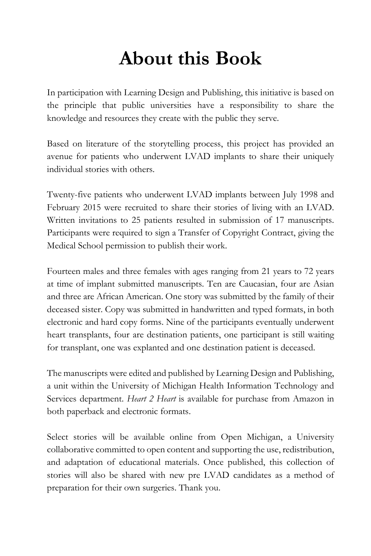## **About this Book**

In participation with Learning Design and Publishing, this initiative is based on the principle that public universities have a responsibility to share the knowledge and resources they create with the public they serve.

Based on literature of the storytelling process, this project has provided an avenue for patients who underwent LVAD implants to share their uniquely individual stories with others.

Twenty-five patients who underwent LVAD implants between July 1998 and February 2015 were recruited to share their stories of living with an LVAD. Written invitations to 25 patients resulted in submission of 17 manuscripts. Participants were required to sign a Transfer of Copyright Contract, giving the Medical School permission to publish their work.

Fourteen males and three females with ages ranging from 21 years to 72 years at time of implant submitted manuscripts. Ten are Caucasian, four are Asian and three are African American. One story was submitted by the family of their deceased sister. Copy was submitted in handwritten and typed formats, in both electronic and hard copy forms. Nine of the participants eventually underwent heart transplants, four are destination patients, one participant is still waiting for transplant, one was explanted and one destination patient is deceased.

The manuscripts were edited and published by Learning Design and Publishing, a unit within the University of Michigan Health Information Technology and Services department. *Heart 2 Heart* is available for purchase from Amazon in both paperback and electronic formats.

Select stories will be available online from Open Michigan, a University collaborative committed to open content and supporting the use, redistribution, and adaptation of educational materials. Once published, this collection of stories will also be shared with new pre LVAD candidates as a method of preparation for their own surgeries. Thank you.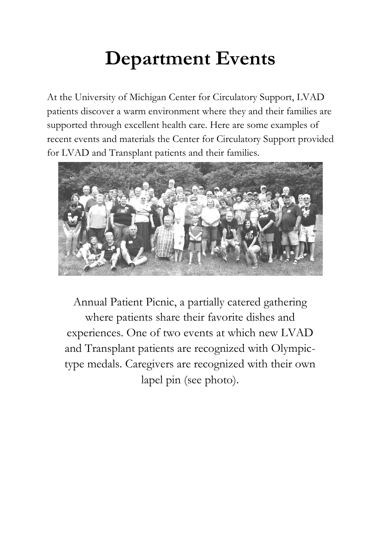## **Department Events**

At the University of Michigan Center for Circulatory Support, LVAD patients discover a warm environment where they and their families are supported through excellent health care. Here are some examples of recent events and materials the Center for Circulatory Support provided for LVAD and Transplant patients and their families.



Annual Patient Picnic, a partially catered gathering where patients share their favorite dishes and experiences. One of two events at which new LVAD and Transplant patients are recognized with Olympictype medals. Caregivers are recognized with their own lapel pin (see photo).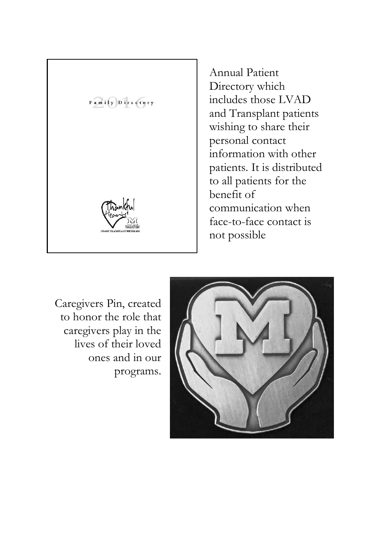

Annual Patient Directory which includes those LVAD and Transplant patients wishing to share their personal contact information with other patients. It is distributed to all patients for the benefit of communication when face-to-face contact is not possible

Caregivers Pin, created to honor the role that caregivers play in the lives of their loved ones and in our programs.

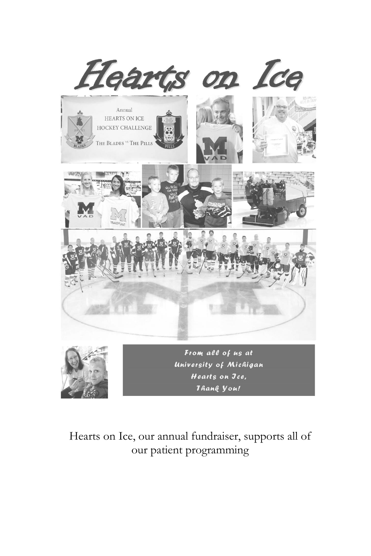

Hearts on Jee, Thank you!

Hearts on Ice, our annual fundraiser, supports all of our patient programming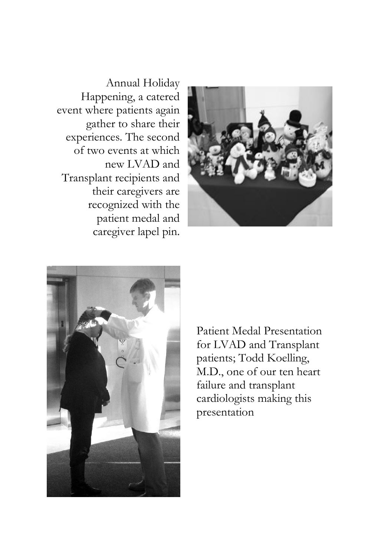Annual Holiday Happening, a catered event where patients again gather to share their experiences. The second of two events at which new LVAD and Transplant recipients and their caregivers are recognized with the patient medal and caregiver lapel pin.





Patient Medal Presentation for LVAD and Transplant patients; Todd Koelling, M.D., one of our ten heart failure and transplant cardiologists making this presentation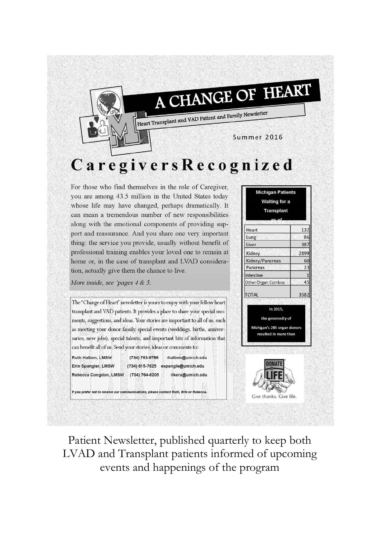

For those who find themselves in the role of Caregiver, you are among 43.5 million in the United States today whose life may have changed, perhaps dramatically. It can mean a tremendous number of new responsibilities along with the emotional components of providing support and reassurance. And you share one very important thing: the service you provide, usually without benefit of professional training enables your loved one to remain at home or, in the case of transplant and LVAD consideration, actually give them the chance to live.

More inside, see 'pages 4 & 5.

The "Change of Heart" newsletter is yours to enjoy with your fellow heart transplant and VAD patients. It provides a place to share your special moments, suggestions, and ideas. Your stories are important to all of us, such as meeting your donor family, special events (weddings, births, anniversaries, new jobs), special talents, and important bits of information that can benefit all of us. Send your stories, ideas or comments to:

Ruth Halben, LMSW Erin Spangler, LMSW Rebecca Congdon, LMSW (734) 764-6205

(734) 763-9788 rhalben@umich.edu (734) 615-7625 espangle@umich.edu

rikera@umich.edu

If you prefer not to receive our communications, please contact Ruth, Erin or Rebecca.



Patient Newsletter, published quarterly to keep both LVAD and Transplant patients informed of upcoming events and happenings of the program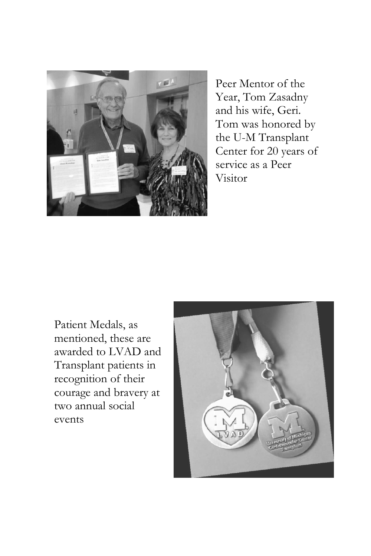

Peer Mentor of the Year, Tom Zasadny and his wife, Geri. Tom was honored by the U-M Transplant Center for 20 years of service as a Peer Visitor

Patient Medals, as mentioned, these are awarded to LVAD and Transplant patients in recognition of their courage and bravery at two annual social events

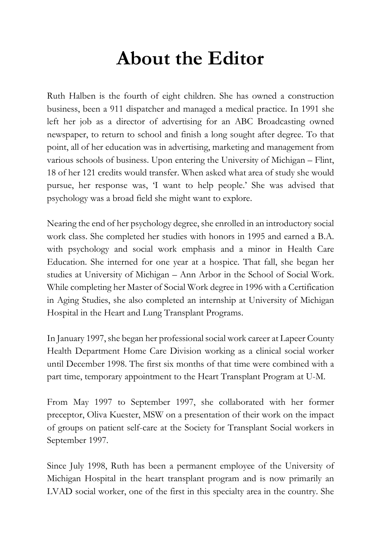## **About the Editor**

Ruth Halben is the fourth of eight children. She has owned a construction business, been a 911 dispatcher and managed a medical practice. In 1991 she left her job as a director of advertising for an ABC Broadcasting owned newspaper, to return to school and finish a long sought after degree. To that point, all of her education was in advertising, marketing and management from various schools of business. Upon entering the University of Michigan – Flint, 18 of her 121 credits would transfer. When asked what area of study she would pursue, her response was, 'I want to help people.' She was advised that psychology was a broad field she might want to explore.

Nearing the end of her psychology degree, she enrolled in an introductory social work class. She completed her studies with honors in 1995 and earned a B.A. with psychology and social work emphasis and a minor in Health Care Education. She interned for one year at a hospice. That fall, she began her studies at University of Michigan – Ann Arbor in the School of Social Work. While completing her Master of Social Work degree in 1996 with a Certification in Aging Studies, she also completed an internship at University of Michigan Hospital in the Heart and Lung Transplant Programs.

In January 1997, she began her professional social work career at Lapeer County Health Department Home Care Division working as a clinical social worker until December 1998. The first six months of that time were combined with a part time, temporary appointment to the Heart Transplant Program at U-M.

From May 1997 to September 1997, she collaborated with her former preceptor, Oliva Kuester, MSW on a presentation of their work on the impact of groups on patient self-care at the Society for Transplant Social workers in September 1997.

Since July 1998, Ruth has been a permanent employee of the University of Michigan Hospital in the heart transplant program and is now primarily an LVAD social worker, one of the first in this specialty area in the country. She